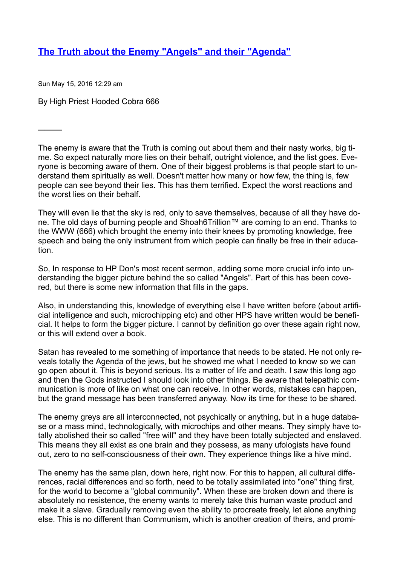## **[The](https://web.archive.org/web/20161228134013/http://josministries.prophpbb.com/topic14543.html#p72551) [Truth](https://web.archive.org/web/20161228134013/http://josministries.prophpbb.com/topic14543.html#p72551) [about](https://web.archive.org/web/20161228134013/http://josministries.prophpbb.com/topic14543.html#p72551) [the](https://web.archive.org/web/20161228134013/http://josministries.prophpbb.com/topic14543.html#p72551) [Enemy](https://web.archive.org/web/20161228134013/http://josministries.prophpbb.com/topic14543.html#p72551) "[Angels"](https://web.archive.org/web/20161228134013/http://josministries.prophpbb.com/topic14543.html#p72551) [and](https://web.archive.org/web/20161228134013/http://josministries.prophpbb.com/topic14543.html#p72551) [their](https://web.archive.org/web/20161228134013/http://josministries.prophpbb.com/topic14543.html#p72551) "[Agenda"](https://web.archive.org/web/20161228134013/http://josministries.prophpbb.com/topic14543.html#p72551)**

Sun May 15, 2016 12:29 am

 $\overline{\phantom{a}}$ 

By High Priest Hooded Cobra 666

The enemy is aware that the Truth is coming out about them and their nasty works, big time. So expect naturally more lies on their behalf, outright violence, and the list goes. Everyone is becoming aware of them. One of their biggest problems is that people start to understand them spiritually as well. Doesn't matter how many or how few, the thing is, few people can see beyond their lies. This has them terrified. Expect the worst reactions and the worst lies on their behalf.

They will even lie that the sky is red, only to save themselves, because of all they have done. The old days of burning people and Shoah6Trillion™ are coming to an end. Thanks to the WWW (666) which brought the enemy into their knees by promoting knowledge, free speech and being the only instrument from which people can finally be free in their education.

So, In response to HP Don's most recent sermon, adding some more crucial info into understanding the bigger picture behind the so called "Angels". Part of this has been covered, but there is some new information that fills in the gaps.

Also, in understanding this, knowledge of everything else I have written before (about artificial intelligence and such, microchipping etc) and other HPS have written would be beneficial. It helps to form the bigger picture. I cannot by definition go over these again right now, or this will extend over a book.

Satan has revealed to me something of importance that needs to be stated. He not only reveals totally the Agenda of the jews, but he showed me what I needed to know so we can go open about it. This is beyond serious. Its a matter of life and death. I saw this long ago and then the Gods instructed I should look into other things. Be aware that telepathic communication is more of like on what one can receive. In other words, mistakes can happen, but the grand message has been transferred anyway. Now its time for these to be shared.

The enemy greys are all interconnected, not psychically or anything, but in a huge database or a mass mind, technologically, with microchips and other means. They simply have totally abolished their so called "free will" and they have been totally subjected and enslaved. This means they all exist as one brain and they possess, as many ufologists have found out, zero to no self-consciousness of their own. They experience things like a hive mind.

The enemy has the same plan, down here, right now. For this to happen, all cultural differences, racial differences and so forth, need to be totally assimilated into "one" thing first, for the world to become a "global community". When these are broken down and there is absolutely no resistence, the enemy wants to merely take this human waste product and make it a slave. Gradually removing even the ability to procreate freely, let alone anything else. This is no different than Communism, which is another creation of theirs, and promi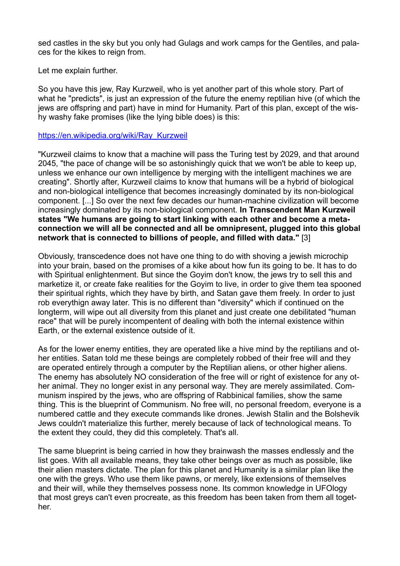sed castles in the sky but you only had Gulags and work camps for the Gentiles, and palaces for the kikes to reign from.

Let me explain further.

So you have this jew, Ray Kurzweil, who is yet another part of this whole story. Part of what he "predicts", is just an expression of the future the enemy reptilian hive (of which the jews are offspring and part) have in mind for Humanity. Part of this plan, except of the wishy washy fake promises (like the lying bible does) is this:

## [https://en.wikipedia.org/wiki/Ray\\_Kurzweil](https://web.archive.org/web/20161228134013/https://en.wikipedia.org/wiki/Ray_Kurzweil)

"Kurzweil claims to know that a machine will pass the Turing test by 2029, and that around 2045, "the pace of change will be so astonishingly quick that we won't be able to keep up, unless we enhance our own intelligence by merging with the intelligent machines we are creating". Shortly after, Kurzweil claims to know that humans will be a hybrid of biological and non-biological intelligence that becomes increasingly dominated by its non-biological component. [...] So over the next few decades our human-machine civilization will become increasingly dominated by its non-biological component. **In Transcendent Man Kurzweil states "We humans are going to start linking with each other and become a metaconnection we will all be connected and all be omnipresent, plugged into this global network that is connected to billions of people, and filled with data."** [3]

Obviously, transcedence does not have one thing to do with shoving a jewish microchip into your brain, based on the promises of a kike about how fun its going to be. It has to do with Spiritual enlightenment. But since the Goyim don't know, the jews try to sell this and marketize it, or create fake realities for the Goyim to live, in order to give them tea spooned their spiritual rights, which they have by birth, and Satan gave them freely. In order to just rob everythign away later. This is no different than "diversity" which if continued on the longterm, will wipe out all diversity from this planet and just create one debilitated "human race" that will be purely incompentent of dealing with both the internal existence within Earth, or the external existence outside of it.

As for the lower enemy entities, they are operated like a hive mind by the reptilians and other entities. Satan told me these beings are completely robbed of their free will and they are operated entirely through a computer by the Reptilian aliens, or other higher aliens. The enemy has absolutely NO consideration of the free will or right of existence for any other animal. They no longer exist in any personal way. They are merely assimilated. Communism inspired by the jews, who are offspring of Rabbinical families, show the same thing. This is the blueprint of Communism. No free will, no personal freedom, everyone is a numbered cattle and they execute commands like drones. Jewish Stalin and the Bolshevik Jews couldn't materialize this further, merely because of lack of technological means. To the extent they could, they did this completely. That's all.

The same blueprint is being carried in how they brainwash the masses endlessly and the list goes. With all available means, they take other beings over as much as possible, like their alien masters dictate. The plan for this planet and Humanity is a similar plan like the one with the greys. Who use them like pawns, or merely, like extensions of themselves and their will, while they themselves possess none. Its common knowledge in UFOlogy that most greys can't even procreate, as this freedom has been taken from them all together.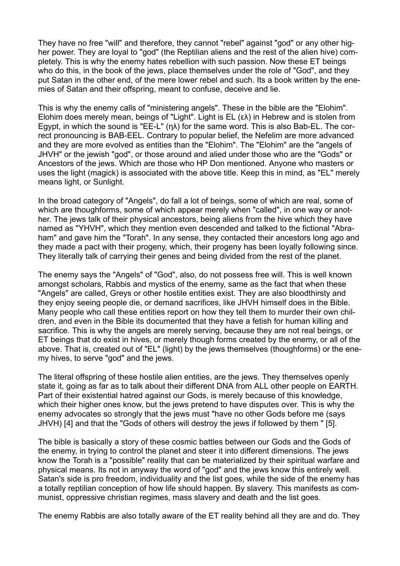They have no free "will" and therefore, they cannot "rebel" against "god" or any other higher power. They are loyal to "god" (the Reptilian aliens and the rest of the alien hive) completely. This is why the enemy hates rebellion with such passion. Now these ET beings who do this, in the book of the jews, place themselves under the role of "God", and they put Satan in the other end, of the mere lower rebel and such. Its a book written by the enemies of Satan and their offspring, meant to confuse, deceive and lie.

This is why the enemy calls of "ministering angels". These in the bible are the "Elohim". Elohim does merely mean, beings of "Light". Light is EL (ελ) in Hebrew and is stolen from Egypt, in which the sound is "EE-L" (ηλ) for the same word. This is also Bab-EL. The correct pronouncing is BAB-EEL. Contrary to popular belief, the Nefelim are more advanced and they are more evolved as entities than the "Elohim". The "Elohim" are the "angels of JHVH" or the jewish "god", or those around and alied under those who are the "Gods" or Ancestors of the jews. Which are those who HP Don mentioned. Anyone who masters or uses the light (magick) is associated with the above title. Keep this in mind, as "EL" merely means light, or Sunlight.

In the broad category of "Angels", do fall a lot of beings, some of which are real, some of which are thoughforms, some of which appear merely when "called", in one way or another. The jews talk of their physical ancestors, being aliens from the hive which they have named as "YHVH", which they mention even descended and talked to the fictional "Abraham" and gave him the "Torah". In any sense, they contacted their ancestors long ago and they made a pact with their progeny, which, their progeny has been loyally following since. They literally talk of carrying their genes and being divided from the rest of the planet.

The enemy says the "Angels" of "God", also, do not possess free will. This is well known amongst scholars, Rabbis and mystics of the enemy, same as the fact that when these "Angels" are called, Greys or other hostile entities exist. They are also bloodthirsty and they enjoy seeing people die, or demand sacrifices, like JHVH himself does in the Bible. Many people who call these entities report on how they tell them to murder their own children, and even in the Bible its documented that they have a fetish for human killing and sacrifice. This is why the angels are merely serving, because they are not real beings, or ET beings that do exist in hives, or merely though forms created by the enemy, or all of the above. That is, created out of "EL" (light) by the jews themselves (thoughforms) or the enemy hives, to serve "god" and the jews.

The literal offspring of these hostile alien entities, are the jews. They themselves openly state it, going as far as to talk about their different DNA from ALL other people on EARTH. Part of their existential hatred against our Gods, is merely because of this knowledge, which their higher ones know, but the jews pretend to have disputes over. This is why the enemy advocates so strongly that the jews must "have no other Gods before me (says JHVH) [4] and that the "Gods of others will destroy the jews if followed by them " [5].

The bible is basically a story of these cosmic battles between our Gods and the Gods of the enemy, in trying to control the planet and steer it into different dimensions. The jews know the Torah is a "possible" reality that can be materialized by their spiritual warfare and physical means. Its not in anyway the word of "god" and the jews know this entirely well. Satan's side is pro freedom, individuality and the list goes, while the side of the enemy has a totally reptilian conception of how life should happen. By slavery. This manifests as communist, oppressive christian regimes, mass slavery and death and the list goes.

The enemy Rabbis are also totally aware of the ET reality behind all they are and do. They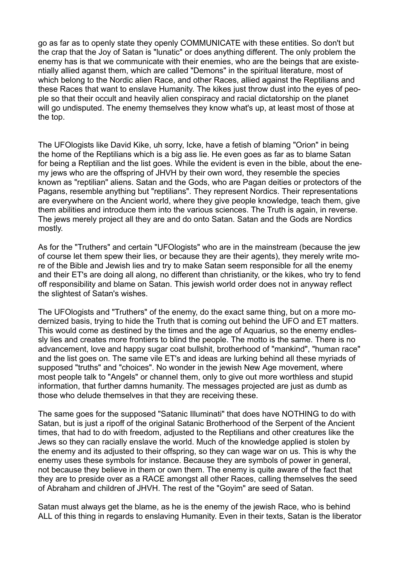go as far as to openly state they openly COMMUNICATE with these entities. So don't but the crap that the Joy of Satan is "lunatic" or does anything different. The only problem the enemy has is that we communicate with their enemies, who are the beings that are existentially allied aganst them, which are called "Demons" in the spiritual literature, most of which belong to the Nordic alien Race, and other Races, allied against the Reptilians and these Races that want to enslave Humanity. The kikes just throw dust into the eyes of people so that their occult and heavily alien conspiracy and racial dictatorship on the planet will go undisputed. The enemy themselves they know what's up, at least most of those at the top.

The UFOlogists like David Kike, uh sorry, Icke, have a fetish of blaming "Orion" in being the home of the Reptilians which is a big ass lie. He even goes as far as to blame Satan for being a Reptilian and the list goes. While the evident is even in the bible, about the enemy jews who are the offspring of JHVH by their own word, they resemble the species known as "reptilian" aliens. Satan and the Gods, who are Pagan deities or protectors of the Pagans, resemble anything but "reptilians". They represent Nordics. Their representations are everywhere on the Ancient world, where they give people knowledge, teach them, give them abilities and introduce them into the various sciences. The Truth is again, in reverse. The jews merely project all they are and do onto Satan. Satan and the Gods are Nordics mostly.

As for the "Truthers" and certain "UFOlogists" who are in the mainstream (because the jew of course let them spew their lies, or because they are their agents), they merely write more of the Bible and Jewish lies and try to make Satan seem responsible for all the enemy and their ET's are doing all along, no different than christianity, or the kikes, who try to fend off responsibility and blame on Satan. This jewish world order does not in anyway reflect the slightest of Satan's wishes.

The UFOlogists and "Truthers" of the enemy, do the exact same thing, but on a more modernized basis, trying to hide the Truth that is coming out behind the UFO and ET matters. This would come as destined by the times and the age of Aquarius, so the enemy endlessly lies and creates more frontiers to blind the people. The motto is the same. There is no advancement, love and happy sugar coat bullshit, brotherhood of "mankind", "human race" and the list goes on. The same vile ET's and ideas are lurking behind all these myriads of supposed "truths" and "choices". No wonder in the jewish New Age movement, where most people talk to "Angels" or channel them, only to give out more worthless and stupid information, that further damns humanity. The messages projected are just as dumb as those who delude themselves in that they are receiving these.

The same goes for the supposed "Satanic Illuminati" that does have NOTHING to do with Satan, but is just a ripoff of the original Satanic Brotherhood of the Serpent of the Ancient times, that had to do with freedom, adjusted to the Reptilians and other creatures like the Jews so they can racially enslave the world. Much of the knowledge applied is stolen by the enemy and its adjusted to their offspring, so they can wage war on us. This is why the enemy uses these symbols for instance. Because they are symbols of power in general, not because they believe in them or own them. The enemy is quite aware of the fact that they are to preside over as a RACE amongst all other Races, calling themselves the seed of Abraham and children of JHVH. The rest of the "Goyim" are seed of Satan.

Satan must always get the blame, as he is the enemy of the jewish Race, who is behind ALL of this thing in regards to enslaving Humanity. Even in their texts, Satan is the liberator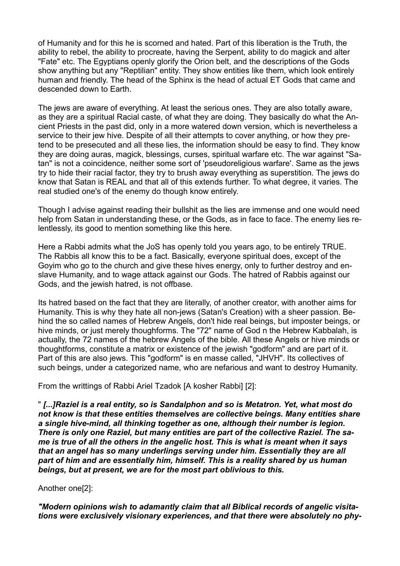of Humanity and for this he is scorned and hated. Part of this liberation is the Truth, the ability to rebel, the ability to procreate, having the Serpent, ability to do magick and alter "Fate" etc. The Egyptians openly glorify the Orion belt, and the descriptions of the Gods show anything but any "Reptilian" entity. They show entities like them, which look entirely human and friendly. The head of the Sphinx is the head of actual ET Gods that came and descended down to Earth.

The jews are aware of everything. At least the serious ones. They are also totally aware, as they are a spiritual Racial caste, of what they are doing. They basically do what the Ancient Priests in the past did, only in a more watered down version, which is nevertheless a service to their jew hive. Despite of all their attempts to cover anything, or how they pretend to be presecuted and all these lies, the information should be easy to find. They know they are doing auras, magick, blessings, curses, spiritual warfare etc. The war against "Satan" is not a coincidence, neither some sort of 'pseudoreligious warfare'. Same as the jews try to hide their racial factor, they try to brush away everything as superstition. The jews do know that Satan is REAL and that all of this extends further. To what degree, it varies. The real studied one's of the enemy do though know entirely.

Though I advise against reading their bullshit as the lies are immense and one would need help from Satan in understanding these, or the Gods, as in face to face. The enemy lies relentlessly, its good to mention something like this here.

Here a Rabbi admits what the JoS has openly told you years ago, to be entirely TRUE. The Rabbis all know this to be a fact. Basically, everyone spiritual does, except of the Goyim who go to the church and give these hives energy, only to further destroy and enslave Humanity, and to wage attack against our Gods. The hatred of Rabbis against our Gods, and the jewish hatred, is not offbase.

Its hatred based on the fact that they are literally, of another creator, with another aims for Humanity. This is why they hate all non-jews (Satan's Creation) with a sheer passion. Behind the so called names of Hebrew Angels, don't hide real beings, but imposter beings, or hive minds, or just merely thoughforms. The "72" name of God n the Hebrew Kabbalah, is actually, the 72 names of the hebrew Angels of the bible. All these Angels or hive minds or thoughtforms, constitute a matrix or existence of the jewish "godform" and are part of it. Part of this are also jews. This "godform" is en masse called, "JHVH". Its collectives of such beings, under a categorized name, who are nefarious and want to destroy Humanity.

From the writtings of Rabbi Ariel Tzadok [A kosher Rabbi] [2]:

" *[...]Raziel is a real entity, so is Sandalphon and so is Metatron. Yet, what most do not know is that these entities themselves are collective beings. Many entities share a single hive-mind, all thinking together as one, although their number is legion. There is only one Raziel, but many entities are part of the collective Raziel. The same is true of all the others in the angelic host. This is what is meant when it says that an angel has so many underlings serving under him. Essentially they are all part of him and are essentially him, himself. This is a reality shared by us human beings, but at present, we are for the most part oblivious to this.*

Another one[2]:

*"Modern opinions wish to adamantly claim that all Biblical records of angelic visitations were exclusively visionary experiences, and that there were absolutely no phy-*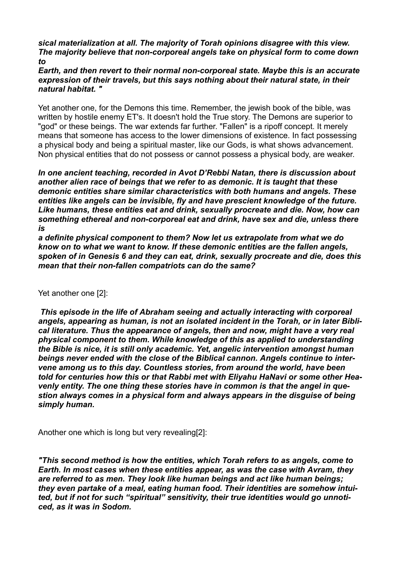## *sical materialization at all. The majority of Torah opinions disagree with this view. The majority believe that non-corporeal angels take on physical form to come down to*

*Earth, and then revert to their normal non-corporeal state. Maybe this is an accurate expression of their travels, but this says nothing about their natural state, in their natural habitat. "*

Yet another one, for the Demons this time. Remember, the jewish book of the bible, was written by hostile enemy ET's. It doesn't hold the True story. The Demons are superior to "god" or these beings. The war extends far further. "Fallen" is a ripoff concept. It merely means that someone has access to the lower dimensions of existence. In fact possessing a physical body and being a spiritual master, like our Gods, is what shows advancement. Non physical entities that do not possess or cannot possess a physical body, are weaker.

*In one ancient teaching, recorded in Avot D'Rebbi Natan, there is discussion about another alien race of beings that we refer to as demonic. It is taught that these demonic entities share similar characteristics with both humans and angels. These entities like angels can be invisible, fly and have prescient knowledge of the future. Like humans, these entities eat and drink, sexually procreate and die. Now, how can something ethereal and non-corporeal eat and drink, have sex and die, unless there is*

*a definite physical component to them? Now let us extrapolate from what we do know on to what we want to know. If these demonic entities are the fallen angels, spoken of in Genesis 6 and they can eat, drink, sexually procreate and die, does this mean that their non-fallen compatriots can do the same?*

Yet another one [2]:

*This episode in the life of Abraham seeing and actually interacting with corporeal angels, appearing as human, is not an isolated incident in the Torah, or in later Biblical literature. Thus the appearance of angels, then and now, might have a very real physical component to them. While knowledge of this as applied to understanding the Bible is nice, it is still only academic. Yet, angelic intervention amongst human beings never ended with the close of the Biblical cannon. Angels continue to intervene among us to this day. Countless stories, from around the world, have been told for centuries how this or that Rabbi met with Eliyahu HaNavi or some other Heavenly entity. The one thing these stories have in common is that the angel in question always comes in a physical form and always appears in the disguise of being simply human.*

Another one which is long but very revealing[2]:

*"This second method is how the entities, which Torah refers to as angels, come to Earth. In most cases when these entities appear, as was the case with Avram, they are referred to as men. They look like human beings and act like human beings; they even partake of a meal, eating human food. Their identities are somehow intuited, but if not for such "spiritual" sensitivity, their true identities would go unnoticed, as it was in Sodom.*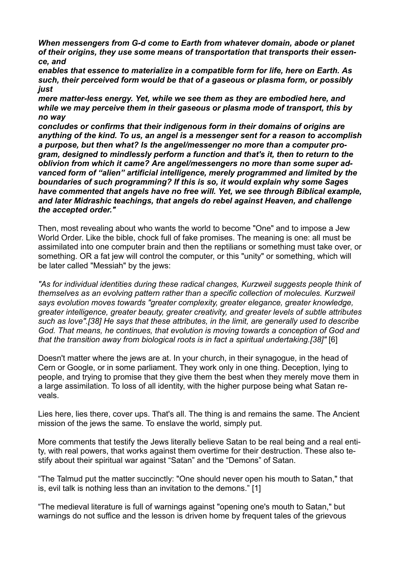*When messengers from G-d come to Earth from whatever domain, abode or planet of their origins, they use some means of transportation that transports their essence, and*

*enables that essence to materialize in a compatible form for life, here on Earth. As such, their perceived form would be that of a gaseous or plasma form, or possibly just*

*mere matter-less energy. Yet, while we see them as they are embodied here, and while we may perceive them in their gaseous or plasma mode of transport, this by no way*

*concludes or confirms that their indigenous form in their domains of origins are anything of the kind. To us, an angel is a messenger sent for a reason to accomplish a purpose, but then what? Is the angel/messenger no more than a computer program, designed to mindlessly perform a function and that's it, then to return to the oblivion from which it came? Are angel/messengers no more than some super advanced form of "alien" artificial intelligence, merely programmed and limited by the boundaries of such programming? If this is so, it would explain why some Sages have commented that angels have no free will. Yet, we see through Biblical example, and later Midrashic teachings, that angels do rebel against Heaven, and challenge the accepted order."*

Then, most revealing about who wants the world to become "One" and to impose a Jew World Order. Like the bible, chock full of fake promises. The meaning is one: all must be assimilated into one computer brain and then the reptilians or something must take over, or something. OR a fat jew will control the computer, or this "unity" or something, which will be later called "Messiah" by the jews:

*"As for individual identities during these radical changes, Kurzweil suggests people think of themselves as an evolving pattern rather than a specific collection of molecules. Kurzweil says evolution moves towards "greater complexity, greater elegance, greater knowledge, greater intelligence, greater beauty, greater creativity, and greater levels of subtle attributes such as love".[38] He says that these attributes, in the limit, are generally used to describe God. That means, he continues, that evolution is moving towards a conception of God and that the transition away from biological roots is in fact a spiritual undertaking.[38]"* [6]

Doesn't matter where the jews are at. In your church, in their synagogue, in the head of Cern or Google, or in some parliament. They work only in one thing. Deception, lying to people, and trying to promise that they give them the best when they merely move them in a large assimilation. To loss of all identity, with the higher purpose being what Satan reveals.

Lies here, lies there, cover ups. That's all. The thing is and remains the same. The Ancient mission of the jews the same. To enslave the world, simply put.

More comments that testify the Jews literally believe Satan to be real being and a real entity, with real powers, that works against them overtime for their destruction. These also testify about their spiritual war against "Satan" and the "Demons" of Satan.

"The Talmud put the matter succinctly: "One should never open his mouth to Satan," that is, evil talk is nothing less than an invitation to the demons." [1]

"The medieval literature is full of warnings against "opening one's mouth to Satan," but warnings do not suffice and the lesson is driven home by frequent tales of the grievous